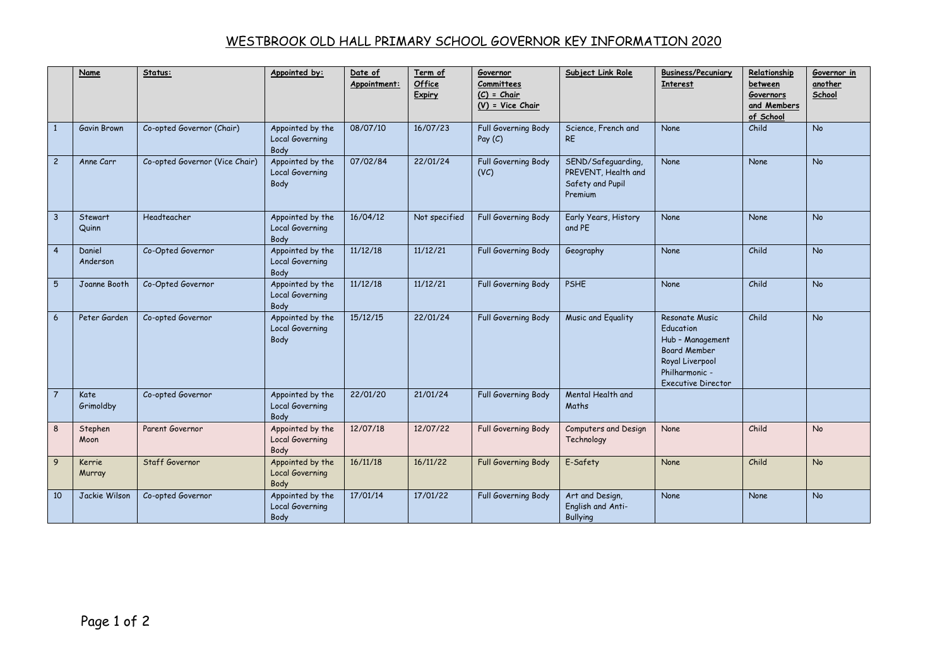## WESTBROOK OLD HALL PRIMARY SCHOOL GOVERNOR KEY INFORMATION 2020

|                 | Name               | Status:                        | Appointed by:                                      | Date of<br>Appointment: | Term of<br>Office<br>Expiry | Governor<br>Committees<br>$(C)$ = Chair<br>$(V)$ = Vice Chair | Subject Link Role                                                        | <b>Business/Pecuniary</b><br><b>Interest</b>                                                                                             | Relationship<br>between<br><b>Governors</b><br>and Members<br>of School | Governor in<br>another<br>School |
|-----------------|--------------------|--------------------------------|----------------------------------------------------|-------------------------|-----------------------------|---------------------------------------------------------------|--------------------------------------------------------------------------|------------------------------------------------------------------------------------------------------------------------------------------|-------------------------------------------------------------------------|----------------------------------|
| $\mathbf{1}$    | Gavin Brown        | Co-opted Governor (Chair)      | Appointed by the<br>Local Governing<br>Body        | 08/07/10                | 16/07/23                    | Full Governing Body<br>Pay $(C)$                              | Science, French and<br><b>RE</b>                                         | None                                                                                                                                     | Child                                                                   | No                               |
| $\overline{c}$  | Anne Carr          | Co-opted Governor (Vice Chair) | Appointed by the<br><b>Local Governing</b><br>Body | 07/02/84                | 22/01/24                    | Full Governing Body<br>(VC)                                   | SEND/Safeguarding,<br>PREVENT, Health and<br>Safety and Pupil<br>Premium | None                                                                                                                                     | None                                                                    | <b>No</b>                        |
| $\overline{3}$  | Stewart<br>Quinn   | Headteacher                    | Appointed by the<br><b>Local Governing</b><br>Body | 16/04/12                | Not specified               | Full Governing Body                                           | Early Years, History<br>and PE                                           | None                                                                                                                                     | None                                                                    | <b>No</b>                        |
| $\overline{4}$  | Daniel<br>Anderson | Co-Opted Governor              | Appointed by the<br><b>Local Governing</b><br>Body | 11/12/18                | 11/12/21                    | Full Governing Body                                           | Geography                                                                | None                                                                                                                                     | Child                                                                   | <b>No</b>                        |
| 5               | Joanne Booth       | Co-Opted Governor              | Appointed by the<br><b>Local Governing</b><br>Body | 11/12/18                | 11/12/21                    | Full Governing Body                                           | <b>PSHE</b>                                                              | None                                                                                                                                     | Child                                                                   | <b>No</b>                        |
| $6\overline{6}$ | Peter Garden       | Co-opted Governor              | Appointed by the<br>Local Governing<br>Body        | 15/12/15                | 22/01/24                    | Full Governing Body                                           | Music and Equality                                                       | Resonate Music<br>Education<br>Hub - Management<br><b>Board Member</b><br>Royal Liverpool<br>Philharmonic -<br><b>Executive Director</b> | Child                                                                   | <b>No</b>                        |
| $\overline{7}$  | Kate<br>Grimoldby  | Co-opted Governor              | Appointed by the<br><b>Local Governing</b><br>Body | 22/01/20                | 21/01/24                    | Full Governing Body                                           | Mental Health and<br>Maths                                               |                                                                                                                                          |                                                                         |                                  |
| 8               | Stephen<br>Moon    | Parent Governor                | Appointed by the<br><b>Local Governing</b><br>Body | 12/07/18                | 12/07/22                    | Full Governing Body                                           | Computers and Design<br>Technology                                       | None                                                                                                                                     | Child                                                                   | <b>No</b>                        |
| 9               | Kerrie<br>Murray   | Staff Governor                 | Appointed by the<br><b>Local Governing</b><br>Body | 16/11/18                | 16/11/22                    | Full Governing Body                                           | E-Safety                                                                 | None                                                                                                                                     | Child                                                                   | <b>No</b>                        |
| 10              | Jackie Wilson      | Co-opted Governor              | Appointed by the<br><b>Local Governing</b><br>Body | 17/01/14                | 17/01/22                    | Full Governing Body                                           | Art and Design,<br>English and Anti-<br><b>Bullying</b>                  | None                                                                                                                                     | <b>None</b>                                                             | <b>No</b>                        |